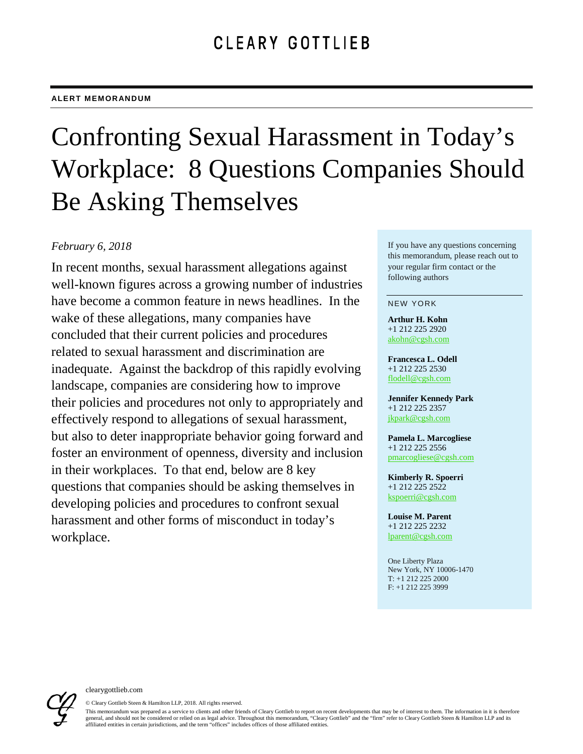# Confronting Sexual Harassment in Today's Workplace: 8 Questions Companies Should Be Asking Themselves

### *February 6, 2018*

In recent months, sexual harassment allegations against well-known figures across a growing number of industries have become a common feature in news headlines. In the wake of these allegations, many companies have concluded that their current policies and procedures related to sexual harassment and discrimination are inadequate. Against the backdrop of this rapidly evolving landscape, companies are considering how to improve their policies and procedures not only to appropriately and effectively respond to allegations of sexual harassment, but also to deter inappropriate behavior going forward and foster an environment of openness, diversity and inclusion in their workplaces. To that end, below are 8 key questions that companies should be asking themselves in developing policies and procedures to confront sexual harassment and other forms of misconduct in today's workplace.

If you have any questions concerning this memorandum, please reach out to your regular firm contact or the following authors

#### NEW YORK

**Arthur H. Kohn** +1 212 225 2920 [akohn@cgsh.com](mailto:akohn@cgsh.com)

**Francesca L. Odell** +1 212 225 2530 [flodell@cgsh.com](mailto:flodell@cgsh.com)

**Jennifer Kennedy Park** +1 212 225 2357 [jkpark@cgsh.com](mailto:jkpark@cgsh.com)

**Pamela L. Marcogliese** +1 212 225 2556 [pmarcogliese@cgsh.com](mailto:pmarcogliese@cgsh.com)

**Kimberly R. Spoerri** +1 212 225 2522 [kspoerri@cgsh.com](mailto:kspoerri@cgsh.com)

**Louise M. Parent** +1 212 225 2232 [lparent@cgsh.com](mailto:lparent@cgsh.com)

One Liberty Plaza New York, NY 10006-1470 T: +1 212 225 2000 F: +1 212 225 3999



© Cleary Gottlieb Steen & Hamilton LLP, 2018. All rights reserved. This memorandum was prepared as a service to clients and other friends of Cleary Gottlieb to report on recent developments that may be of interest to them. The information in it is therefore general, and should not be considered or relied on as legal advice. Throughout this memorandum, "Cleary Gottlieb" and the "firm" refer to Cleary Gottlieb Steen & Hamilton LLP and its affiliated entities in certain jurisdictions, and the term "offices" includes offices of those affiliated entities.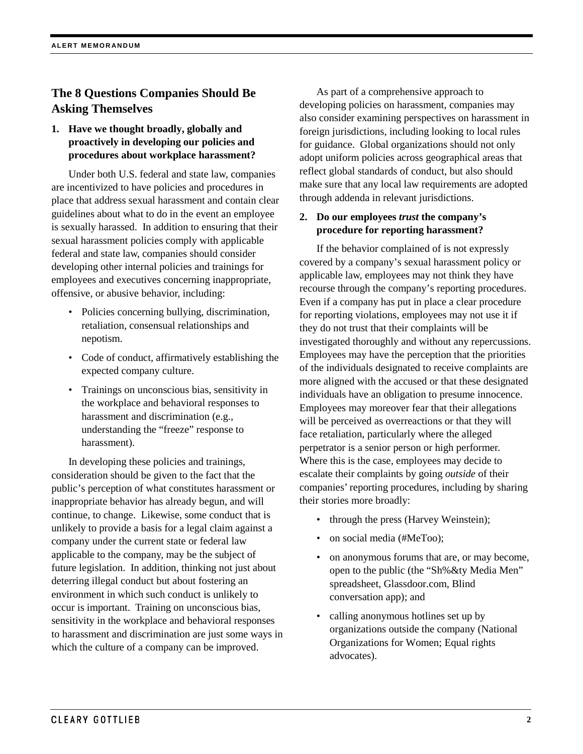## **The 8 Questions Companies Should Be Asking Themselves**

#### **1. Have we thought broadly, globally and proactively in developing our policies and procedures about workplace harassment?**

Under both U.S. federal and state law, companies are incentivized to have policies and procedures in place that address sexual harassment and contain clear guidelines about what to do in the event an employee is sexually harassed. In addition to ensuring that their sexual harassment policies comply with applicable federal and state law, companies should consider developing other internal policies and trainings for employees and executives concerning inappropriate, offensive, or abusive behavior, including:

- Policies concerning bullying, discrimination, retaliation, consensual relationships and nepotism.
- Code of conduct, affirmatively establishing the expected company culture.
- Trainings on unconscious bias, sensitivity in the workplace and behavioral responses to harassment and discrimination (e.g., understanding the "freeze" response to harassment).

In developing these policies and trainings, consideration should be given to the fact that the public's perception of what constitutes harassment or inappropriate behavior has already begun, and will continue, to change. Likewise, some conduct that is unlikely to provide a basis for a legal claim against a company under the current state or federal law applicable to the company, may be the subject of future legislation. In addition, thinking not just about deterring illegal conduct but about fostering an environment in which such conduct is unlikely to occur is important. Training on unconscious bias, sensitivity in the workplace and behavioral responses to harassment and discrimination are just some ways in which the culture of a company can be improved.

As part of a comprehensive approach to developing policies on harassment, companies may also consider examining perspectives on harassment in foreign jurisdictions, including looking to local rules for guidance. Global organizations should not only adopt uniform policies across geographical areas that reflect global standards of conduct, but also should make sure that any local law requirements are adopted through addenda in relevant jurisdictions.

#### **2. Do our employees** *trust* **the company's procedure for reporting harassment?**

If the behavior complained of is not expressly covered by a company's sexual harassment policy or applicable law, employees may not think they have recourse through the company's reporting procedures. Even if a company has put in place a clear procedure for reporting violations, employees may not use it if they do not trust that their complaints will be investigated thoroughly and without any repercussions. Employees may have the perception that the priorities of the individuals designated to receive complaints are more aligned with the accused or that these designated individuals have an obligation to presume innocence. Employees may moreover fear that their allegations will be perceived as overreactions or that they will face retaliation, particularly where the alleged perpetrator is a senior person or high performer. Where this is the case, employees may decide to escalate their complaints by going *outside* of their companies' reporting procedures, including by sharing their stories more broadly:

- through the press (Harvey Weinstein);
- on social media (#MeToo);
- on anonymous forums that are, or may become, open to the public (the "Sh%&ty Media Men" spreadsheet, Glassdoor.com, Blind conversation app); and
- calling anonymous hotlines set up by organizations outside the company (National Organizations for Women; Equal rights advocates).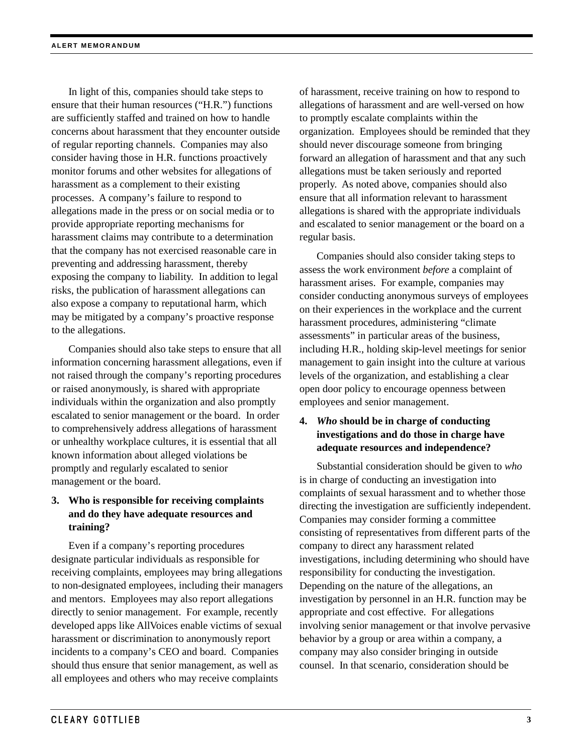In light of this, companies should take steps to ensure that their human resources ("H.R.") functions are sufficiently staffed and trained on how to handle concerns about harassment that they encounter outside of regular reporting channels. Companies may also consider having those in H.R. functions proactively monitor forums and other websites for allegations of harassment as a complement to their existing processes. A company's failure to respond to allegations made in the press or on social media or to provide appropriate reporting mechanisms for harassment claims may contribute to a determination that the company has not exercised reasonable care in preventing and addressing harassment, thereby exposing the company to liability. In addition to legal risks, the publication of harassment allegations can also expose a company to reputational harm, which may be mitigated by a company's proactive response to the allegations.

Companies should also take steps to ensure that all information concerning harassment allegations, even if not raised through the company's reporting procedures or raised anonymously, is shared with appropriate individuals within the organization and also promptly escalated to senior management or the board. In order to comprehensively address allegations of harassment or unhealthy workplace cultures, it is essential that all known information about alleged violations be promptly and regularly escalated to senior management or the board.

#### **3. Who is responsible for receiving complaints and do they have adequate resources and training?**

Even if a company's reporting procedures designate particular individuals as responsible for receiving complaints, employees may bring allegations to non-designated employees, including their managers and mentors. Employees may also report allegations directly to senior management. For example, recently developed apps like AllVoices enable victims of sexual harassment or discrimination to anonymously report incidents to a company's CEO and board. Companies should thus ensure that senior management, as well as all employees and others who may receive complaints

of harassment, receive training on how to respond to allegations of harassment and are well-versed on how to promptly escalate complaints within the organization. Employees should be reminded that they should never discourage someone from bringing forward an allegation of harassment and that any such allegations must be taken seriously and reported properly. As noted above, companies should also ensure that all information relevant to harassment allegations is shared with the appropriate individuals and escalated to senior management or the board on a regular basis.

Companies should also consider taking steps to assess the work environment *before* a complaint of harassment arises. For example, companies may consider conducting anonymous surveys of employees on their experiences in the workplace and the current harassment procedures, administering "climate assessments" in particular areas of the business, including H.R., holding skip-level meetings for senior management to gain insight into the culture at various levels of the organization, and establishing a clear open door policy to encourage openness between employees and senior management.

#### **4.** *Who* **should be in charge of conducting investigations and do those in charge have adequate resources and independence?**

Substantial consideration should be given to *who*  is in charge of conducting an investigation into complaints of sexual harassment and to whether those directing the investigation are sufficiently independent. Companies may consider forming a committee consisting of representatives from different parts of the company to direct any harassment related investigations, including determining who should have responsibility for conducting the investigation. Depending on the nature of the allegations, an investigation by personnel in an H.R. function may be appropriate and cost effective. For allegations involving senior management or that involve pervasive behavior by a group or area within a company, a company may also consider bringing in outside counsel. In that scenario, consideration should be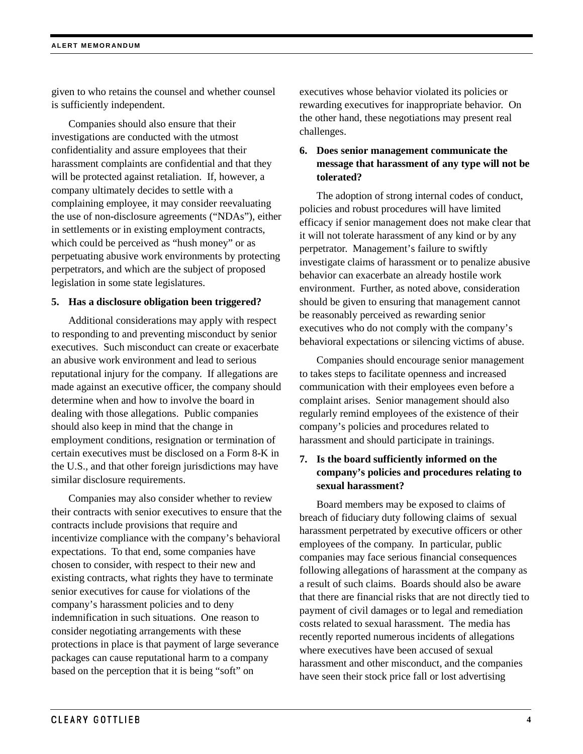given to who retains the counsel and whether counsel is sufficiently independent.

Companies should also ensure that their investigations are conducted with the utmost confidentiality and assure employees that their harassment complaints are confidential and that they will be protected against retaliation. If, however, a company ultimately decides to settle with a complaining employee, it may consider reevaluating the use of non-disclosure agreements ("NDAs"), either in settlements or in existing employment contracts, which could be perceived as "hush money" or as perpetuating abusive work environments by protecting perpetrators, and which are the subject of proposed legislation in some state legislatures.

#### **5. Has a disclosure obligation been triggered?**

Additional considerations may apply with respect to responding to and preventing misconduct by senior executives. Such misconduct can create or exacerbate an abusive work environment and lead to serious reputational injury for the company. If allegations are made against an executive officer, the company should determine when and how to involve the board in dealing with those allegations. Public companies should also keep in mind that the change in employment conditions, resignation or termination of certain executives must be disclosed on a Form 8-K in the U.S., and that other foreign jurisdictions may have similar disclosure requirements.

Companies may also consider whether to review their contracts with senior executives to ensure that the contracts include provisions that require and incentivize compliance with the company's behavioral expectations. To that end, some companies have chosen to consider, with respect to their new and existing contracts, what rights they have to terminate senior executives for cause for violations of the company's harassment policies and to deny indemnification in such situations. One reason to consider negotiating arrangements with these protections in place is that payment of large severance packages can cause reputational harm to a company based on the perception that it is being "soft" on

executives whose behavior violated its policies or rewarding executives for inappropriate behavior. On the other hand, these negotiations may present real challenges.

#### **6. Does senior management communicate the message that harassment of any type will not be tolerated?**

The adoption of strong internal codes of conduct, policies and robust procedures will have limited efficacy if senior management does not make clear that it will not tolerate harassment of any kind or by any perpetrator. Management's failure to swiftly investigate claims of harassment or to penalize abusive behavior can exacerbate an already hostile work environment. Further, as noted above, consideration should be given to ensuring that management cannot be reasonably perceived as rewarding senior executives who do not comply with the company's behavioral expectations or silencing victims of abuse.

Companies should encourage senior management to takes steps to facilitate openness and increased communication with their employees even before a complaint arises. Senior management should also regularly remind employees of the existence of their company's policies and procedures related to harassment and should participate in trainings.

#### **7. Is the board sufficiently informed on the company's policies and procedures relating to sexual harassment?**

Board members may be exposed to claims of breach of fiduciary duty following claims of sexual harassment perpetrated by executive officers or other employees of the company. In particular, public companies may face serious financial consequences following allegations of harassment at the company as a result of such claims. Boards should also be aware that there are financial risks that are not directly tied to payment of civil damages or to legal and remediation costs related to sexual harassment. The media has recently reported numerous incidents of allegations where executives have been accused of sexual harassment and other misconduct, and the companies have seen their stock price fall or lost advertising